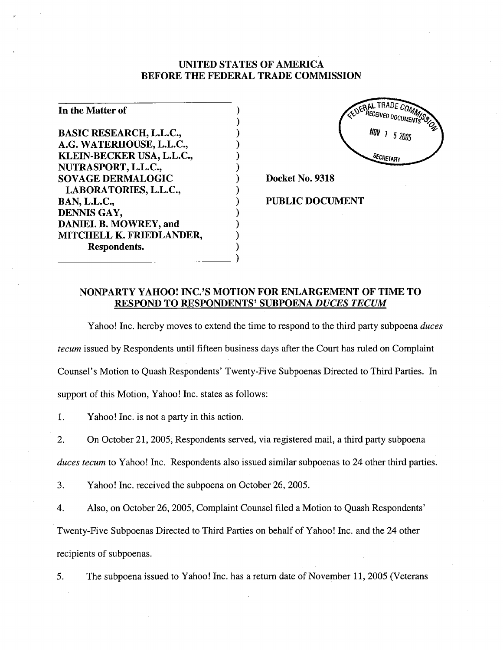## UNITED STATES OF AMERICA BEFORE THE FEDERAL TRADE COMMISSION

| In the Matter of               |  |
|--------------------------------|--|
|                                |  |
| <b>BASIC RESEARCH, L.L.C.,</b> |  |
| A.G. WATERHOUSE, L.L.C.,       |  |
| KLEIN-BECKER USA, L.L.C.,      |  |
| NUTRASPORT, L.L.C.,            |  |
| <b>SOVAGE DERMALOGIC</b>       |  |
| LABORATORIES, L.L.C.,          |  |
| <b>BAN, L.L.C.,</b>            |  |
| DENNIS GAY,                    |  |
| DANIEL B. MOWREY, and          |  |
| MITCHELL K. FRIEDLANDER,       |  |
| Respondents.                   |  |
|                                |  |



Docket No. 9318

PUBLIC DOCUMENT

## NONPARTY YAHOO! INC.'S MOTION FOR ENLARGEMENT OF TIME TO RESPOND TO RESPONDENTS' SUBPOENA DUCES TECUM

)

Yahoo! Inc. hereby moves to extend the time to respond to the third party subpoena *duces* tecum issued by Respondents until fifteen business days after the Court has ruled on Complaint Counsel's Motion to Quash Respondents' Twenty-Five Subpoenas Directed to Third Parties. In support of this Motion, Yahoo! Inc. states as follows:

1. Yahoo! Inc. is not a party in this action.

2. On October 21, 2005, Respondents served, via registered mail, a third party subpoena duces tecum to Yahoo! Inc. Respondents also issued similar subpoenas to 24 other third parties.

3. Yahoo! Inc. received the subpoena on October 26,2005.

4. Also, on October 26,2005, Complaint Counsel filed a Motion to Quash Respondents' Twenty-Five Subpoenas Directed to Third Parties on behalf of Yahoo! Inc. and the 24 other

recipients of subpoenas.

5. The subpoena issued to Yahoo! Inc. has a return date of November 11, 2005 (Veterans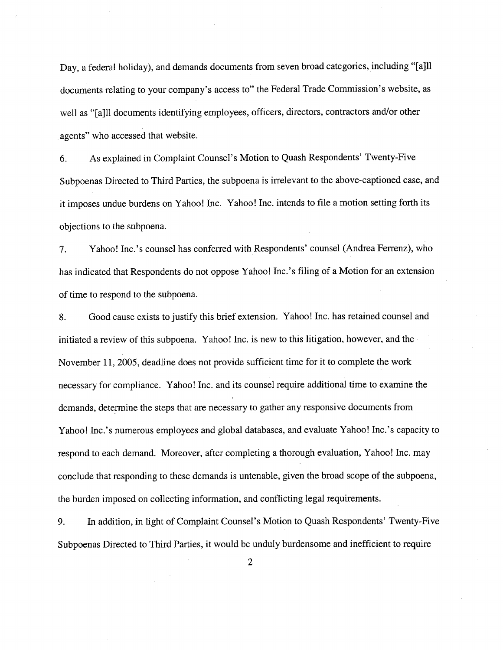Day, a federal holiday), and demands documents from seven broad categories, including "(a)ll documents relating to your company's access to" the Federal Trade Commission's website, as well as "[a]ll documents identifying employees, officers, directors, contractors and/or other agents" who accessed that website.

6. As explained in Complaint Counsel's Motion to Quash Respondents' Twenty-Five Subpoenas Directed to Third Parties, the subpoena is irrelevant to the above-captioned case, and it imposes undue burdens on Yahoo! Inc. Yahoo! Inc. intends to fie a motion setting forth its objections to the subpoena.

7. Yahoo! Inc.'s counsel has conferred with Respondents' counsel (Andrea Ferrenz), who has indicated that Respondents do not oppose Yahoo! Inc.'s filing of a Motion for an extension of time to respond to the subpoena.

8. Good cause exists to justify this brief extension. Yahoo! Inc. has retained counsel and initiated a review of this subpoena. Yahoo! Inc. is new to this litigation, however, and the November 11,2005, deadline does not provide sufficient time for it to complete the work necessary for compliance. Yahoo! Inc. and its counsel require additional time to examine the demands, determine the steps that are necessary to gather any responsive documents from Yahoo! Inc.'s numerous employees and global databases, and evaluate Yahoo! Inc.'s capacity to respond to each demand. Moreover, after completing a thorough evaluation, Yahoo! Inc. may conclude that responding to these demands is untenable, given the broad scope of the subpoena, the burden imposed on collecting information, and conflcting legal requirements.

9. In addition, in light of Complaint Counsel's Motion to Quash Respondents' Twenty-Five Subpoenas Directed to Third Parties, it would be unduly burdensome and inefficient to require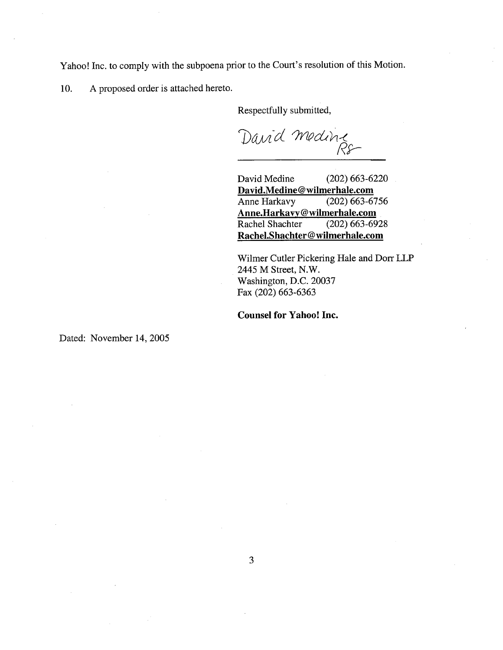Yahoo! Inc. to comply with the subpoena prior to the Court's resolution of this Motion.

10. A proposed order is attached hereto.

Respectfully submitted,

David Medine

David Medine (202) 663-6220 David.Medine@wilmerhale.com<br>Anne Harkavy (202) 663-6756 Anne Harkavy Anne.Harkavy@wilmerhale.com<br>Rachel Shachter (202) 663-6928 Rachel Shachter Rachel.Shachter@wilmerhale.com

Wilmer Cutler Pickering Hale and Dorr LLP 2445 M Street, N.W. Washington, D.C. 20037 Fax (202) 663-6363

Counsel for Yahoo! Inc.

Dated: November 14, 2005